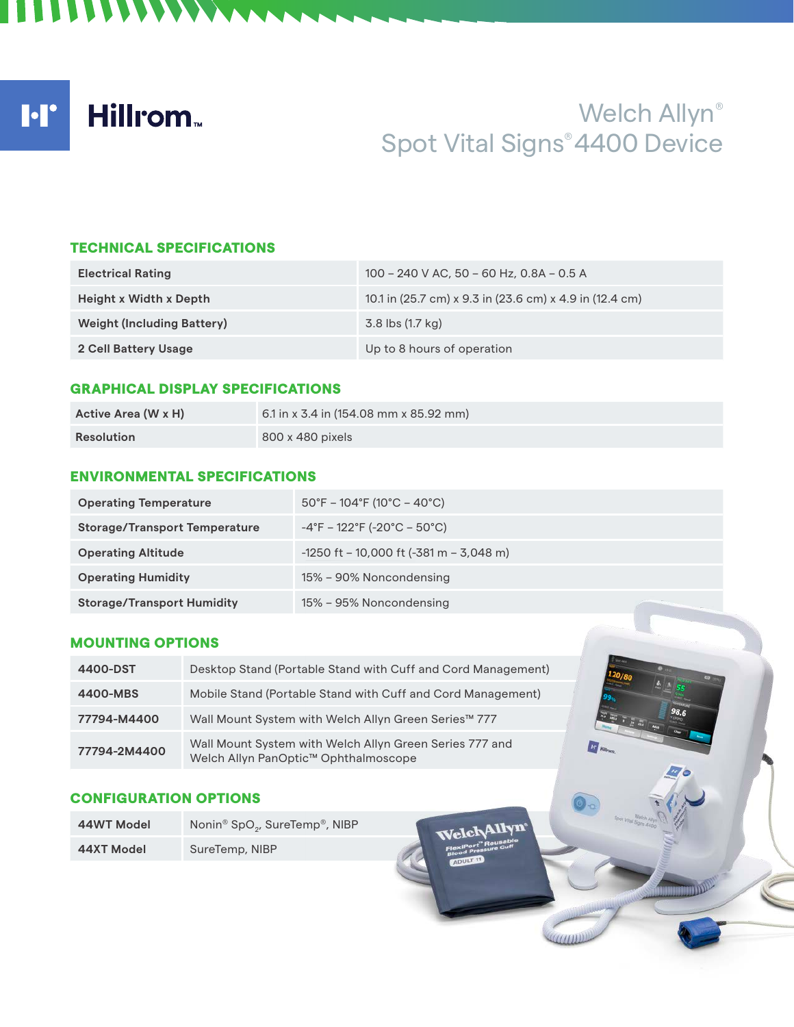I·I' **Hillrom** 

# Welch Allyn® Spot Vital Signs® 4400 Device

### TECHNICAL SPECIFICATIONS

**ITTI TANAN** 

| <b>Electrical Rating</b>          | 100 - 240 V AC, 50 - 60 Hz, 0.8A - 0.5 A                |
|-----------------------------------|---------------------------------------------------------|
| Height x Width x Depth            | 10.1 in (25.7 cm) x 9.3 in (23.6 cm) x 4.9 in (12.4 cm) |
| <b>Weight (Including Battery)</b> | 3.8 lbs (1.7 kg)                                        |
| 2 Cell Battery Usage              | Up to 8 hours of operation                              |

#### GRAPHICAL DISPLAY SPECIFICATIONS

| Active Area (W x H) | 6.1 in x 3.4 in (154.08 mm x 85.92 mm) |
|---------------------|----------------------------------------|
| Resolution          | 800 x 480 pixels                       |

#### ENVIRONMENTAL SPECIFICATIONS

| <b>Operating Temperature</b>         | $50^{\circ}$ F – 104 $^{\circ}$ F (10 $^{\circ}$ C – 40 $^{\circ}$ C)  |
|--------------------------------------|------------------------------------------------------------------------|
| <b>Storage/Transport Temperature</b> | $-4^{\circ}$ F – 122 $^{\circ}$ F (-20 $^{\circ}$ C – 50 $^{\circ}$ C) |
| <b>Operating Altitude</b>            | $-1250$ ft – 10,000 ft (-381 m – 3,048 m)                              |
| <b>Operating Humidity</b>            | 15% – 90% Noncondensing                                                |
| <b>Storage/Transport Humidity</b>    | 15% - 95% Noncondensing                                                |

# MOUNTING OPTIONS

| 4400-DST     | Desktop Stand (Portable Stand with Cuff and Cord Management)                                    |
|--------------|-------------------------------------------------------------------------------------------------|
| 4400-MBS     | Mobile Stand (Portable Stand with Cuff and Cord Management)                                     |
| 77794-M4400  | Wall Mount System with Welch Allyn Green Series™ 777                                            |
| 77794-2M4400 | Wall Mount System with Welch Allyn Green Series 777 and<br>Welch Allyn PanOptic™ Ophthalmoscope |

## CONFIGURATION OPTIONS

| 44WT Model | Nonin <sup>®</sup> SpO <sub>2</sub> , SureTemp <sup>®</sup> , NIBP |  |
|------------|--------------------------------------------------------------------|--|
| 44XT Model | SureTemp, NIBP                                                     |  |

Allyn<sup>,</sup>

**ET Hillron** 

 $(111111)$ 

 $rr$   $\epsilon$